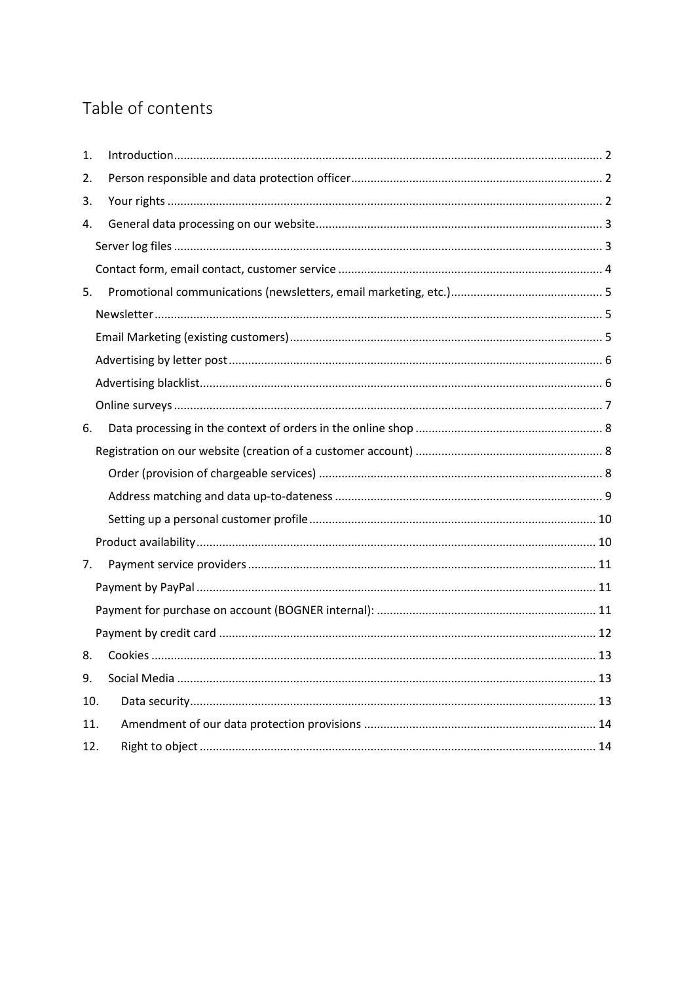# Table of contents

| 1.  |  |
|-----|--|
| 2.  |  |
| 3.  |  |
| 4.  |  |
|     |  |
|     |  |
| 5.  |  |
|     |  |
|     |  |
|     |  |
|     |  |
|     |  |
| 6.  |  |
|     |  |
|     |  |
|     |  |
|     |  |
|     |  |
| 7.  |  |
|     |  |
|     |  |
|     |  |
| 8.  |  |
| 9.  |  |
| 10. |  |
| 11. |  |
| 12. |  |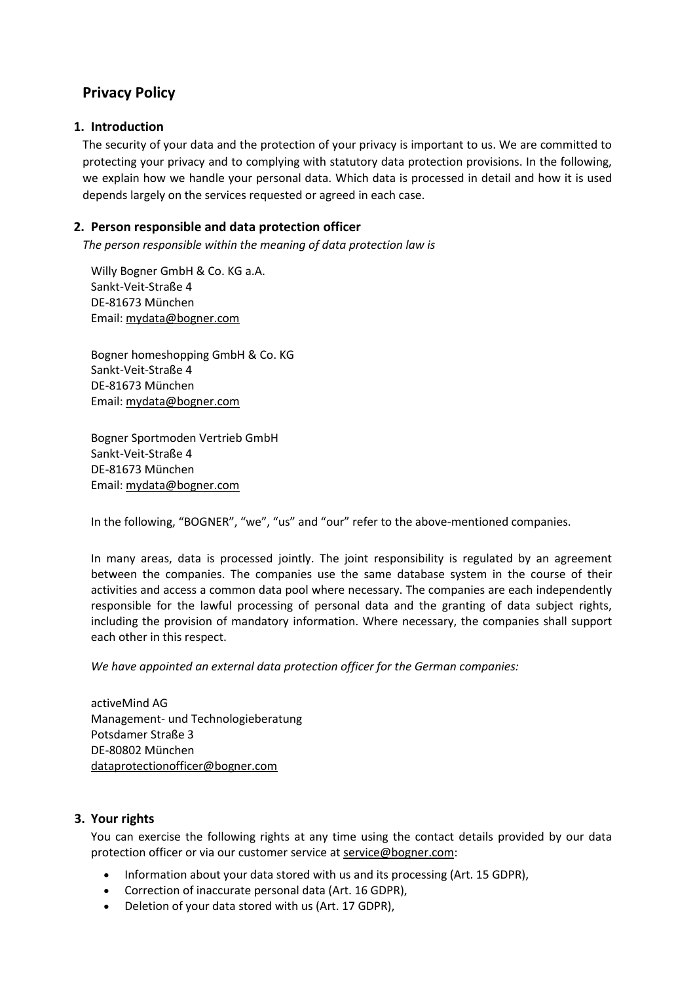## **Privacy Policy**

## <span id="page-1-0"></span>**1. Introduction**

The security of your data and the protection of your privacy is important to us. We are committed to protecting your privacy and to complying with statutory data protection provisions. In the following, we explain how we handle your personal data. Which data is processed in detail and how it is used depends largely on the services requested or agreed in each case.

## <span id="page-1-1"></span>**2. Person responsible and data protection officer**

*The person responsible within the meaning of data protection law is*

Willy Bogner GmbH & Co. KG a.A. Sankt-Veit-Straße 4 DE-81673 München Email: [mydata@bogner.com](mailto:mydata@bogner.com)

Bogner homeshopping GmbH & Co. KG Sankt-Veit-Straße 4 DE-81673 München Email: [mydata@bogner.com](mailto:mydata@bogner.com)

Bogner Sportmoden Vertrieb GmbH Sankt-Veit-Straße 4 DE-81673 München Email: [mydata@bogner.com](mailto:mydata@bogner.com)

In the following, "BOGNER", "we", "us" and "our" refer to the above-mentioned companies.

In many areas, data is processed jointly. The joint responsibility is regulated by an agreement between the companies. The companies use the same database system in the course of their activities and access a common data pool where necessary. The companies are each independently responsible for the lawful processing of personal data and the granting of data subject rights, including the provision of mandatory information. Where necessary, the companies shall support each other in this respect.

*We have appointed an external data protection officer for the German companies:*

activeMind AG Management- und Technologieberatung Potsdamer Straße 3 DE-80802 München [dataprotectionofficer@bogner.com](mailto:dataprotectionofficer@bogner.com)

## <span id="page-1-2"></span>**3. Your rights**

You can exercise the following rights at any time using the contact details provided by our data protection officer or via our customer service at service@bogner.com:

- Information about your data stored with us and its processing (Art. 15 GDPR),
- Correction of inaccurate personal data (Art. 16 GDPR),
- Deletion of your data stored with us (Art. 17 GDPR),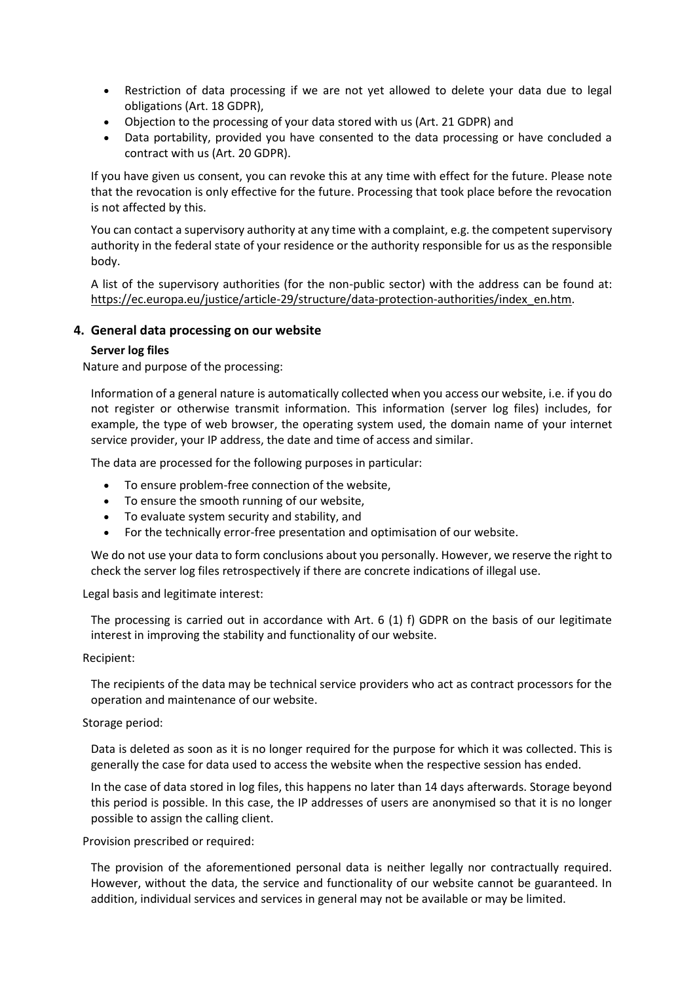- Restriction of data processing if we are not yet allowed to delete your data due to legal obligations (Art. 18 GDPR),
- Objection to the processing of your data stored with us (Art. 21 GDPR) and
- Data portability, provided you have consented to the data processing or have concluded a contract with us (Art. 20 GDPR).

If you have given us consent, you can revoke this at any time with effect for the future. Please note that the revocation is only effective for the future. Processing that took place before the revocation is not affected by this.

You can contact a supervisory authority at any time with a complaint, e.g. the competent supervisory authority in the federal state of your residence or the authority responsible for us as the responsible body.

A list of the supervisory authorities (for the non-public sector) with the address can be found at: [https://ec.europa.eu/justice/article-29/structure/data-protection-authorities/index\\_en.htm.](https://ec.europa.eu/justice/article-29/structure/data-protection-authorities/index_en.htm)

## <span id="page-2-0"></span>**4. General data processing on our website**

## <span id="page-2-1"></span>**Server log files**

Nature and purpose of the processing:

Information of a general nature is automatically collected when you access our website, i.e. if you do not register or otherwise transmit information. This information (server log files) includes, for example, the type of web browser, the operating system used, the domain name of your internet service provider, your IP address, the date and time of access and similar.

The data are processed for the following purposes in particular:

- To ensure problem-free connection of the website,
- To ensure the smooth running of our website,
- To evaluate system security and stability, and
- For the technically error-free presentation and optimisation of our website.

We do not use your data to form conclusions about you personally. However, we reserve the right to check the server log files retrospectively if there are concrete indications of illegal use.

Legal basis and legitimate interest:

The processing is carried out in accordance with Art. 6 (1) f) GDPR on the basis of our legitimate interest in improving the stability and functionality of our website.

Recipient:

The recipients of the data may be technical service providers who act as contract processors for the operation and maintenance of our website.

## Storage period:

Data is deleted as soon as it is no longer required for the purpose for which it was collected. This is generally the case for data used to access the website when the respective session has ended.

In the case of data stored in log files, this happens no later than 14 days afterwards. Storage beyond this period is possible. In this case, the IP addresses of users are anonymised so that it is no longer possible to assign the calling client.

Provision prescribed or required:

The provision of the aforementioned personal data is neither legally nor contractually required. However, without the data, the service and functionality of our website cannot be guaranteed. In addition, individual services and services in general may not be available or may be limited.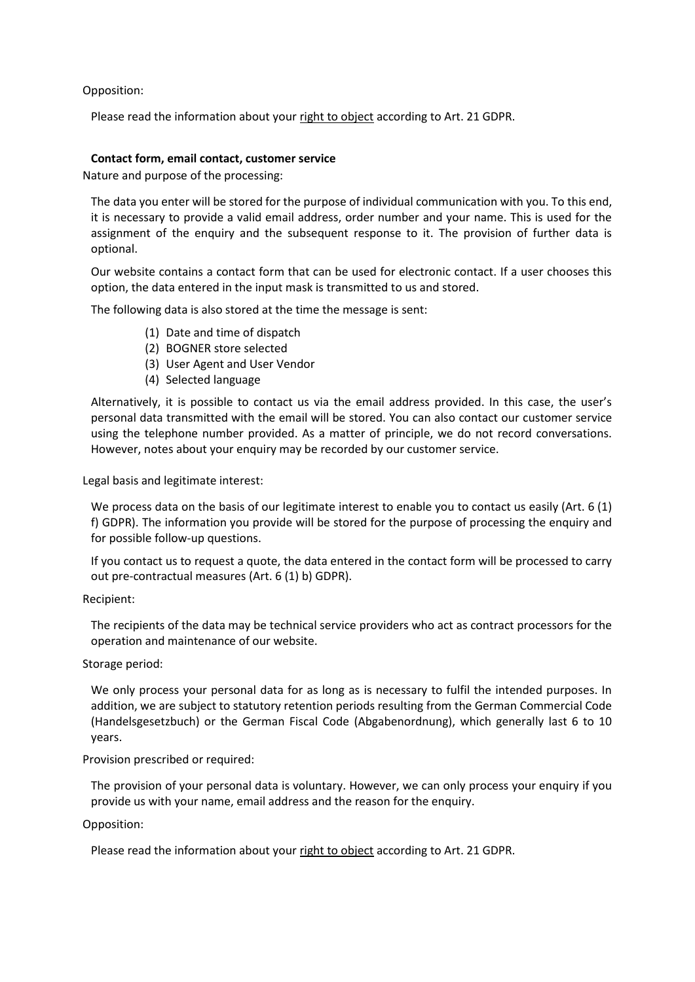Opposition:

Please read the information about you[r right to object](#page-13-1) according to Art. 21 GDPR.

## <span id="page-3-0"></span>**Contact form, email contact, customer service**

Nature and purpose of the processing:

The data you enter will be stored for the purpose of individual communication with you. To this end, it is necessary to provide a valid email address, order number and your name. This is used for the assignment of the enquiry and the subsequent response to it. The provision of further data is optional.

Our website contains a contact form that can be used for electronic contact. If a user chooses this option, the data entered in the input mask is transmitted to us and stored.

The following data is also stored at the time the message is sent:

- (1) Date and time of dispatch
- (2) BOGNER store selected
- (3) User Agent and User Vendor
- (4) Selected language

Alternatively, it is possible to contact us via the email address provided. In this case, the user's personal data transmitted with the email will be stored. You can also contact our customer service using the telephone number provided. As a matter of principle, we do not record conversations. However, notes about your enquiry may be recorded by our customer service.

Legal basis and legitimate interest:

We process data on the basis of our legitimate interest to enable you to contact us easily (Art. 6 (1) f) GDPR). The information you provide will be stored for the purpose of processing the enquiry and for possible follow-up questions.

If you contact us to request a quote, the data entered in the contact form will be processed to carry out pre-contractual measures (Art. 6 (1) b) GDPR).

Recipient:

The recipients of the data may be technical service providers who act as contract processors for the operation and maintenance of our website.

Storage period:

We only process your personal data for as long as is necessary to fulfil the intended purposes. In addition, we are subject to statutory retention periods resulting from the German Commercial Code (Handelsgesetzbuch) or the German Fiscal Code (Abgabenordnung), which generally last 6 to 10 years.

Provision prescribed or required:

The provision of your personal data is voluntary. However, we can only process your enquiry if you provide us with your name, email address and the reason for the enquiry.

Opposition:

Please read the information about you[r right to object](#page-13-1) according to Art. 21 GDPR.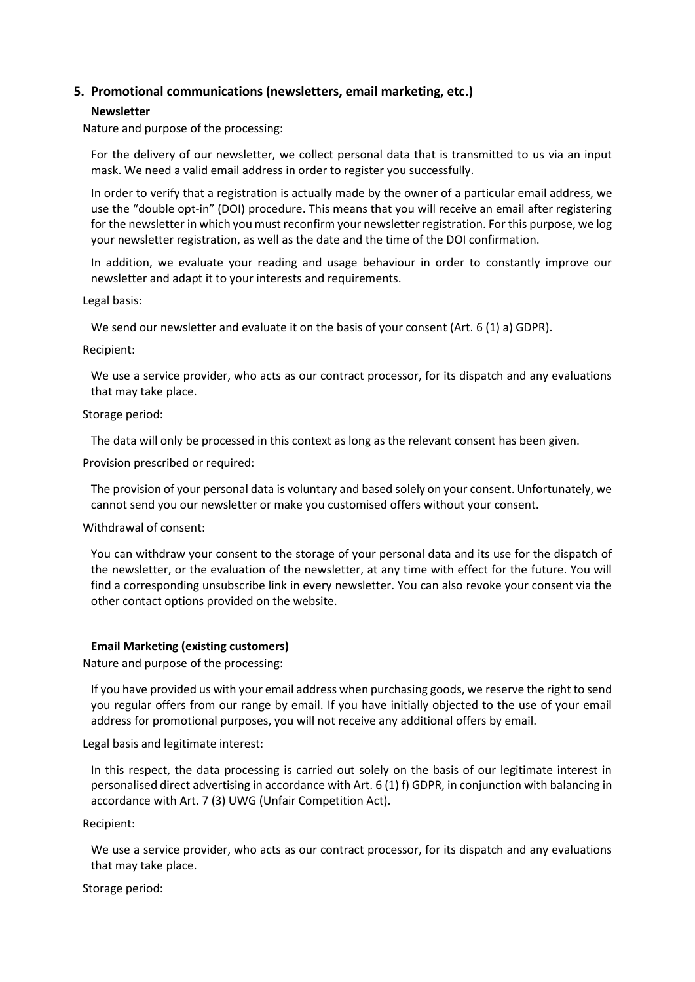## <span id="page-4-0"></span>**5. Promotional communications (newsletters, email marketing, etc.)**

## <span id="page-4-1"></span>**Newsletter**

Nature and purpose of the processing:

For the delivery of our newsletter, we collect personal data that is transmitted to us via an input mask. We need a valid email address in order to register you successfully.

In order to verify that a registration is actually made by the owner of a particular email address, we use the "double opt-in" (DOI) procedure. This means that you will receive an email after registering for the newsletter in which you must reconfirm your newsletter registration. For this purpose, we log your newsletter registration, as well as the date and the time of the DOI confirmation.

In addition, we evaluate your reading and usage behaviour in order to constantly improve our newsletter and adapt it to your interests and requirements.

Legal basis:

We send our newsletter and evaluate it on the basis of your consent (Art. 6 (1) a) GDPR).

Recipient:

We use a service provider, who acts as our contract processor, for its dispatch and any evaluations that may take place.

Storage period:

The data will only be processed in this context as long as the relevant consent has been given.

Provision prescribed or required:

The provision of your personal data is voluntary and based solely on your consent. Unfortunately, we cannot send you our newsletter or make you customised offers without your consent.

Withdrawal of consent:

You can withdraw your consent to the storage of your personal data and its use for the dispatch of the newsletter, or the evaluation of the newsletter, at any time with effect for the future. You will find a corresponding unsubscribe link in every newsletter. You can also revoke your consent via the other contact options provided on the website.

## <span id="page-4-2"></span>**Email Marketing (existing customers)**

Nature and purpose of the processing:

If you have provided us with your email address when purchasing goods, we reserve the right to send you regular offers from our range by email. If you have initially objected to the use of your email address for promotional purposes, you will not receive any additional offers by email.

Legal basis and legitimate interest:

In this respect, the data processing is carried out solely on the basis of our legitimate interest in personalised direct advertising in accordance with Art. 6 (1) f) GDPR, in conjunction with balancing in accordance with Art. 7 (3) UWG (Unfair Competition Act).

Recipient:

We use a service provider, who acts as our contract processor, for its dispatch and any evaluations that may take place.

Storage period: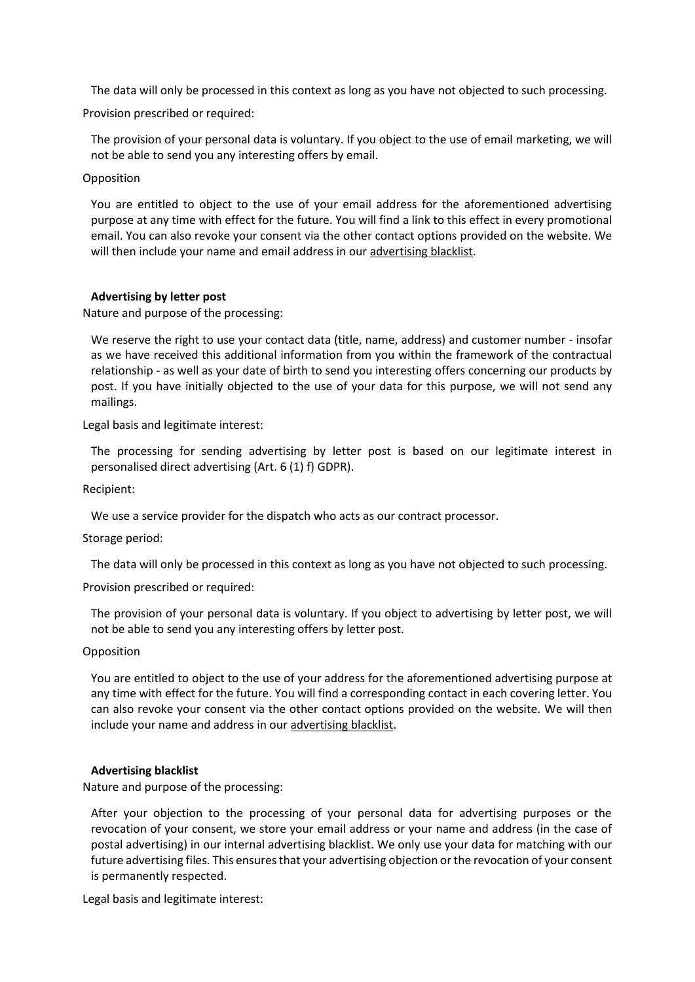The data will only be processed in this context as long as you have not objected to such processing.

Provision prescribed or required:

The provision of your personal data is voluntary. If you object to the use of email marketing, we will not be able to send you any interesting offers by email.

#### Opposition

You are entitled to object to the use of your email address for the aforementioned advertising purpose at any time with effect for the future. You will find a link to this effect in every promotional email. You can also revoke your consent via the other contact options provided on the website. We will then include your name and email address in our [advertising blacklist.](#page-5-1)

## <span id="page-5-0"></span>**Advertising by letter post**

Nature and purpose of the processing:

We reserve the right to use your contact data (title, name, address) and customer number - insofar as we have received this additional information from you within the framework of the contractual relationship - as well as your date of birth to send you interesting offers concerning our products by post. If you have initially objected to the use of your data for this purpose, we will not send any mailings.

Legal basis and legitimate interest:

The processing for sending advertising by letter post is based on our legitimate interest in personalised direct advertising (Art. 6 (1) f) GDPR).

Recipient:

We use a service provider for the dispatch who acts as our contract processor.

Storage period:

The data will only be processed in this context as long as you have not objected to such processing.

Provision prescribed or required:

The provision of your personal data is voluntary. If you object to advertising by letter post, we will not be able to send you any interesting offers by letter post.

#### Opposition

You are entitled to object to the use of your address for the aforementioned advertising purpose at any time with effect for the future. You will find a corresponding contact in each covering letter. You can also revoke your consent via the other contact options provided on the website. We will then include your name and address in our [advertising blacklist.](#page-5-1)

## <span id="page-5-1"></span>**Advertising blacklist**

Nature and purpose of the processing:

After your objection to the processing of your personal data for advertising purposes or the revocation of your consent, we store your email address or your name and address (in the case of postal advertising) in our internal advertising blacklist. We only use your data for matching with our future advertising files. This ensures that your advertising objection or the revocation of your consent is permanently respected.

Legal basis and legitimate interest: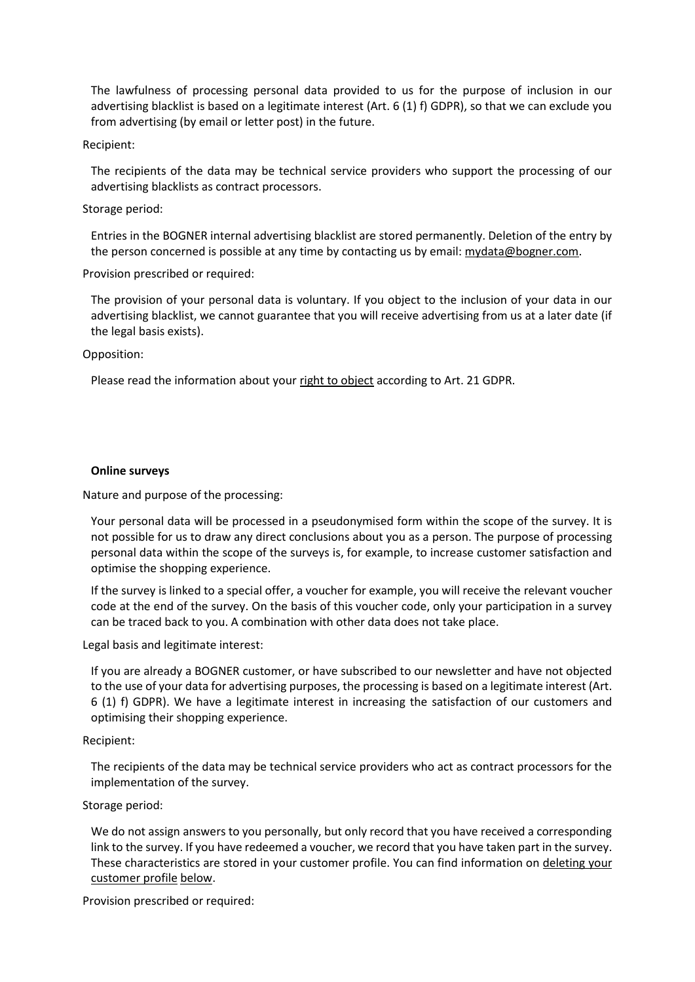The lawfulness of processing personal data provided to us for the purpose of inclusion in our advertising blacklist is based on a legitimate interest (Art. 6 (1) f) GDPR), so that we can exclude you from advertising (by email or letter post) in the future.

## Recipient:

The recipients of the data may be technical service providers who support the processing of our advertising blacklists as contract processors.

## Storage period:

Entries in the BOGNER internal advertising blacklist are stored permanently. Deletion of the entry by the person concerned is possible at any time by contacting us by email: [mydata@bogner.com.](mailto:mydata@bogner.com)

## Provision prescribed or required:

The provision of your personal data is voluntary. If you object to the inclusion of your data in our advertising blacklist, we cannot guarantee that you will receive advertising from us at a later date (if the legal basis exists).

## Opposition:

Please read the information about you[r right to object](#page-13-1) according to Art. 21 GDPR.

## <span id="page-6-0"></span>**Online surveys**

Nature and purpose of the processing:

Your personal data will be processed in a pseudonymised form within the scope of the survey. It is not possible for us to draw any direct conclusions about you as a person. The purpose of processing personal data within the scope of the surveys is, for example, to increase customer satisfaction and optimise the shopping experience.

If the survey is linked to a special offer, a voucher for example, you will receive the relevant voucher code at the end of the survey. On the basis of this voucher code, only your participation in a survey can be traced back to you. A combination with other data does not take place.

Legal basis and legitimate interest:

If you are already a BOGNER customer, or have subscribed to our newsletter and have not objected to the use of your data for advertising purposes, the processing is based on a legitimate interest (Art. 6 (1) f) GDPR). We have a legitimate interest in increasing the satisfaction of our customers and optimising their shopping experience.

#### Recipient:

The recipients of the data may be technical service providers who act as contract processors for the implementation of the survey.

## Storage period:

We do not assign answers to you personally, but only record that you have received a corresponding link to the survey. If you have redeemed a voucher, we record that you have taken part in the survey. These characteristics are stored in your customer profile. You can find information on deleting your customer profile [below.](#page-9-0)

Provision prescribed or required: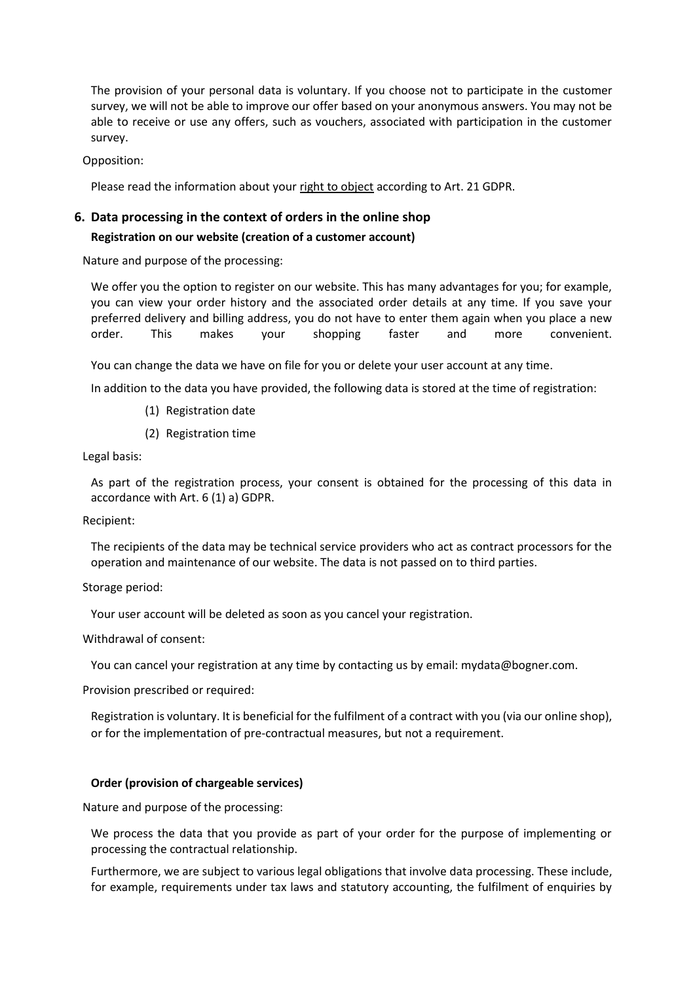The provision of your personal data is voluntary. If you choose not to participate in the customer survey, we will not be able to improve our offer based on your anonymous answers. You may not be able to receive or use any offers, such as vouchers, associated with participation in the customer survey.

Opposition:

Please read the information about you[r right to object](#page-13-1) according to Art. 21 GDPR.

## <span id="page-7-0"></span>**6. Data processing in the context of orders in the online shop**

## <span id="page-7-1"></span>**Registration on our website (creation of a customer account)**

Nature and purpose of the processing:

We offer you the option to register on our website. This has many advantages for you; for example, you can view your order history and the associated order details at any time. If you save your preferred delivery and billing address, you do not have to enter them again when you place a new order. This makes your shopping faster and more convenient.

You can change the data we have on file for you or delete your user account at any time.

In addition to the data you have provided, the following data is stored at the time of registration:

- (1) Registration date
- (2) Registration time

Legal basis:

As part of the registration process, your consent is obtained for the processing of this data in accordance with Art. 6 (1) a) GDPR.

Recipient:

The recipients of the data may be technical service providers who act as contract processors for the operation and maintenance of our website. The data is not passed on to third parties.

Storage period:

Your user account will be deleted as soon as you cancel your registration.

Withdrawal of consent:

You can cancel your registration at any time by contacting us by email: mydata@bogner.com.

Provision prescribed or required:

Registration is voluntary. It is beneficial for the fulfilment of a contract with you (via our online shop), or for the implementation of pre-contractual measures, but not a requirement.

## <span id="page-7-2"></span>**Order (provision of chargeable services)**

Nature and purpose of the processing:

We process the data that you provide as part of your order for the purpose of implementing or processing the contractual relationship.

Furthermore, we are subject to various legal obligations that involve data processing. These include, for example, requirements under tax laws and statutory accounting, the fulfilment of enquiries by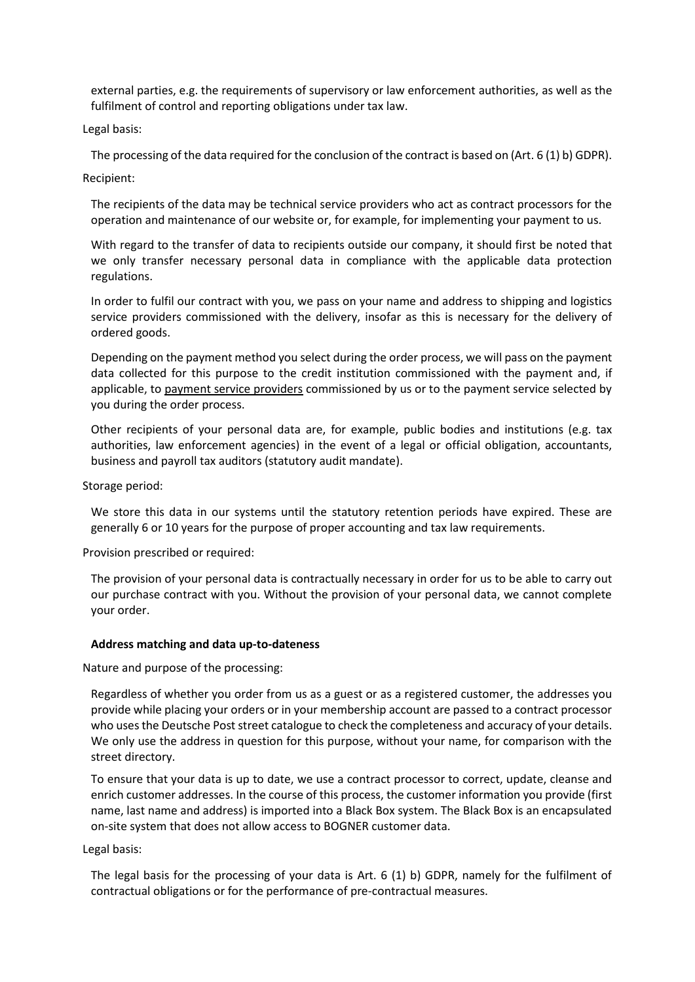external parties, e.g. the requirements of supervisory or law enforcement authorities, as well as the fulfilment of control and reporting obligations under tax law.

Legal basis:

The processing of the data required for the conclusion of the contract is based on (Art. 6 (1) b) GDPR). Recipient:

The recipients of the data may be technical service providers who act as contract processors for the operation and maintenance of our website or, for example, for implementing your payment to us.

With regard to the transfer of data to recipients outside our company, it should first be noted that we only transfer necessary personal data in compliance with the applicable data protection regulations.

In order to fulfil our contract with you, we pass on your name and address to shipping and logistics service providers commissioned with the delivery, insofar as this is necessary for the delivery of ordered goods.

Depending on the payment method you select during the order process, we will pass on the payment data collected for this purpose to the credit institution commissioned with the payment and, if applicable, to [payment service providers](#page-10-0) commissioned by us or to the payment service selected by you during the order process.

Other recipients of your personal data are, for example, public bodies and institutions (e.g. tax authorities, law enforcement agencies) in the event of a legal or official obligation, accountants, business and payroll tax auditors (statutory audit mandate).

Storage period:

We store this data in our systems until the statutory retention periods have expired. These are generally 6 or 10 years for the purpose of proper accounting and tax law requirements.

Provision prescribed or required:

The provision of your personal data is contractually necessary in order for us to be able to carry out our purchase contract with you. Without the provision of your personal data, we cannot complete your order.

## <span id="page-8-0"></span>**Address matching and data up-to-dateness**

Nature and purpose of the processing:

Regardless of whether you order from us as a guest or as a registered customer, the addresses you provide while placing your orders or in your membership account are passed to a contract processor who uses the Deutsche Post street catalogue to check the completeness and accuracy of your details. We only use the address in question for this purpose, without your name, for comparison with the street directory.

To ensure that your data is up to date, we use a contract processor to correct, update, cleanse and enrich customer addresses. In the course of this process, the customer information you provide (first name, last name and address) is imported into a Black Box system. The Black Box is an encapsulated on-site system that does not allow access to BOGNER customer data.

Legal basis:

The legal basis for the processing of your data is Art. 6 (1) b) GDPR, namely for the fulfilment of contractual obligations or for the performance of pre-contractual measures.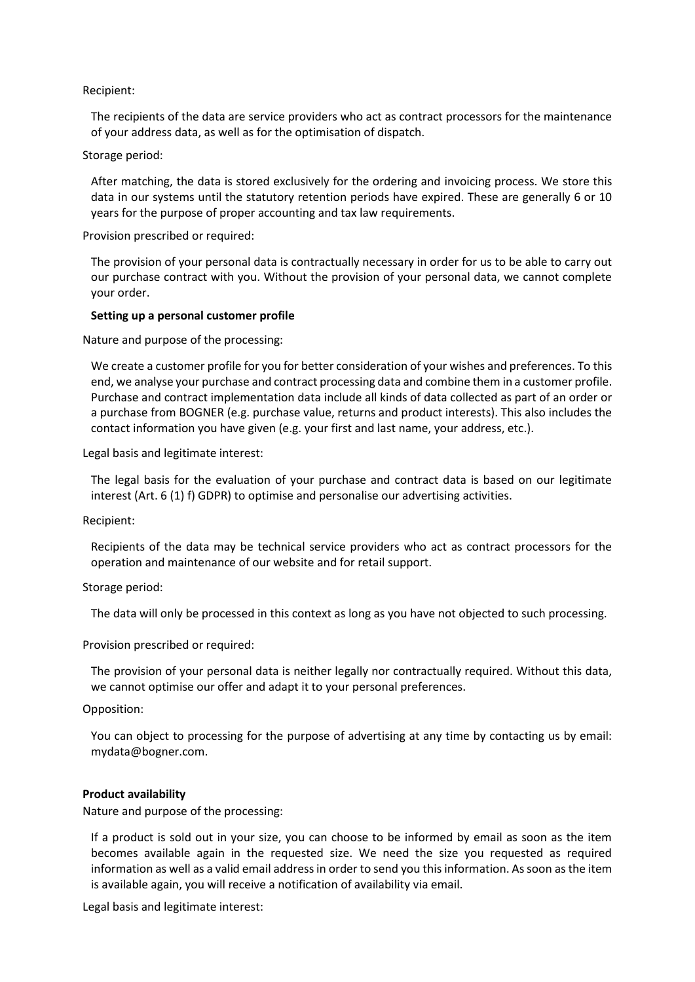## Recipient:

The recipients of the data are service providers who act as contract processors for the maintenance of your address data, as well as for the optimisation of dispatch.

Storage period:

After matching, the data is stored exclusively for the ordering and invoicing process. We store this data in our systems until the statutory retention periods have expired. These are generally 6 or 10 years for the purpose of proper accounting and tax law requirements.

Provision prescribed or required:

The provision of your personal data is contractually necessary in order for us to be able to carry out our purchase contract with you. Without the provision of your personal data, we cannot complete your order.

## <span id="page-9-0"></span>**Setting up a personal customer profile**

Nature and purpose of the processing:

We create a customer profile for you for better consideration of your wishes and preferences. To this end, we analyse your purchase and contract processing data and combine them in a customer profile. Purchase and contract implementation data include all kinds of data collected as part of an order or a purchase from BOGNER (e.g. purchase value, returns and product interests). This also includes the contact information you have given (e.g. your first and last name, your address, etc.).

Legal basis and legitimate interest:

The legal basis for the evaluation of your purchase and contract data is based on our legitimate interest (Art. 6 (1) f) GDPR) to optimise and personalise our advertising activities.

Recipient:

Recipients of the data may be technical service providers who act as contract processors for the operation and maintenance of our website and for retail support.

#### Storage period:

The data will only be processed in this context as long as you have not objected to such processing.

Provision prescribed or required:

The provision of your personal data is neither legally nor contractually required. Without this data, we cannot optimise our offer and adapt it to your personal preferences.

Opposition:

You can object to processing for the purpose of advertising at any time by contacting us by email: mydata@bogner.com.

#### <span id="page-9-1"></span>**Product availability**

Nature and purpose of the processing:

If a product is sold out in your size, you can choose to be informed by email as soon as the item becomes available again in the requested size. We need the size you requested as required information as well as a valid email address in order to send you this information. As soon as the item is available again, you will receive a notification of availability via email.

Legal basis and legitimate interest: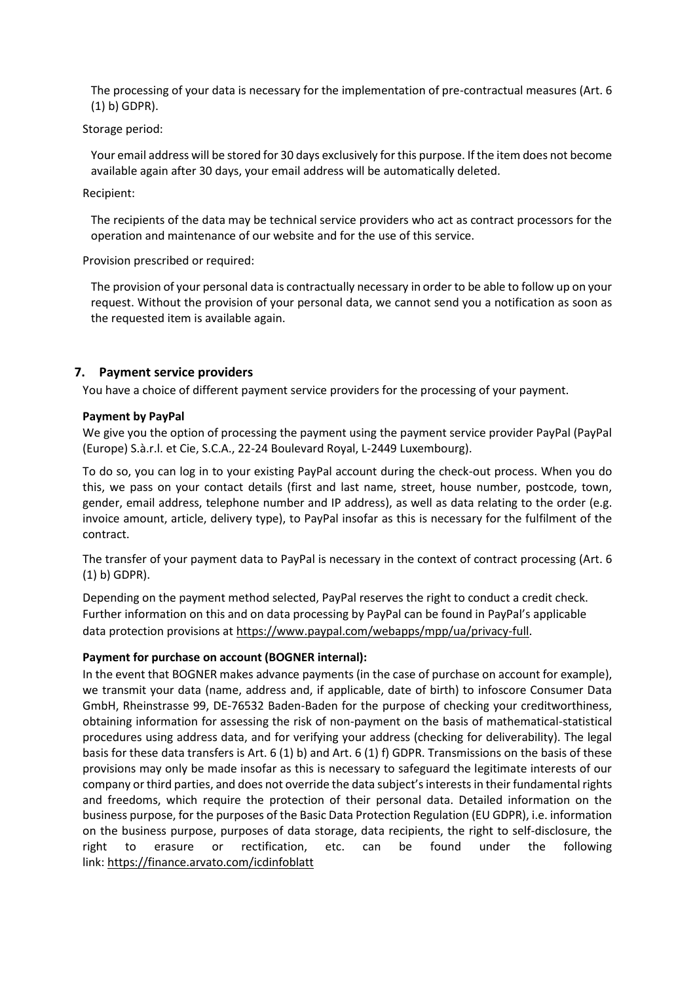The processing of your data is necessary for the implementation of pre-contractual measures (Art. 6 (1) b) GDPR).

Storage period:

Your email address will be stored for 30 days exclusively for this purpose. If the item does not become available again after 30 days, your email address will be automatically deleted.

Recipient:

The recipients of the data may be technical service providers who act as contract processors for the operation and maintenance of our website and for the use of this service.

Provision prescribed or required:

The provision of your personal data is contractually necessary in order to be able to follow up on your request. Without the provision of your personal data, we cannot send you a notification as soon as the requested item is available again.

## <span id="page-10-0"></span>**7. Payment service providers**

You have a choice of different payment service providers for the processing of your payment.

## <span id="page-10-1"></span>**Payment by PayPal**

We give you the option of processing the payment using the payment service provider PayPal (PayPal (Europe) S.à.r.l. et Cie, S.C.A., 22-24 Boulevard Royal, L-2449 Luxembourg).

To do so, you can log in to your existing PayPal account during the check-out process. When you do this, we pass on your contact details (first and last name, street, house number, postcode, town, gender, email address, telephone number and IP address), as well as data relating to the order (e.g. invoice amount, article, delivery type), to PayPal insofar as this is necessary for the fulfilment of the contract.

The transfer of your payment data to PayPal is necessary in the context of contract processing (Art. 6 (1) b) GDPR).

Depending on the payment method selected, PayPal reserves the right to conduct a credit check. Further information on this and on data processing by PayPal can be found in PayPal's applicable data protection provisions at [https://www.paypal.com/webapps/mpp/ua/privacy-full.](https://www.paypal.com/webapps/mpp/ua/privacy-full)

## <span id="page-10-2"></span>**Payment for purchase on account (BOGNER internal):**

In the event that BOGNER makes advance payments (in the case of purchase on account for example), we transmit your data (name, address and, if applicable, date of birth) to infoscore Consumer Data GmbH, Rheinstrasse 99, DE-76532 Baden-Baden for the purpose of checking your creditworthiness, obtaining information for assessing the risk of non-payment on the basis of mathematical-statistical procedures using address data, and for verifying your address (checking for deliverability). The legal basis for these data transfers is Art. 6 (1) b) and Art. 6 (1) f) GDPR. Transmissions on the basis of these provisions may only be made insofar as this is necessary to safeguard the legitimate interests of our company or third parties, and does not override the data subject's interests in their fundamental rights and freedoms, which require the protection of their personal data. Detailed information on the business purpose, for the purposes of the Basic Data Protection Regulation (EU GDPR), i.e. information on the business purpose, purposes of data storage, data recipients, the right to self-disclosure, the right to erasure or rectification, etc. can be found under the following link: <https://finance.arvato.com/icdinfoblatt>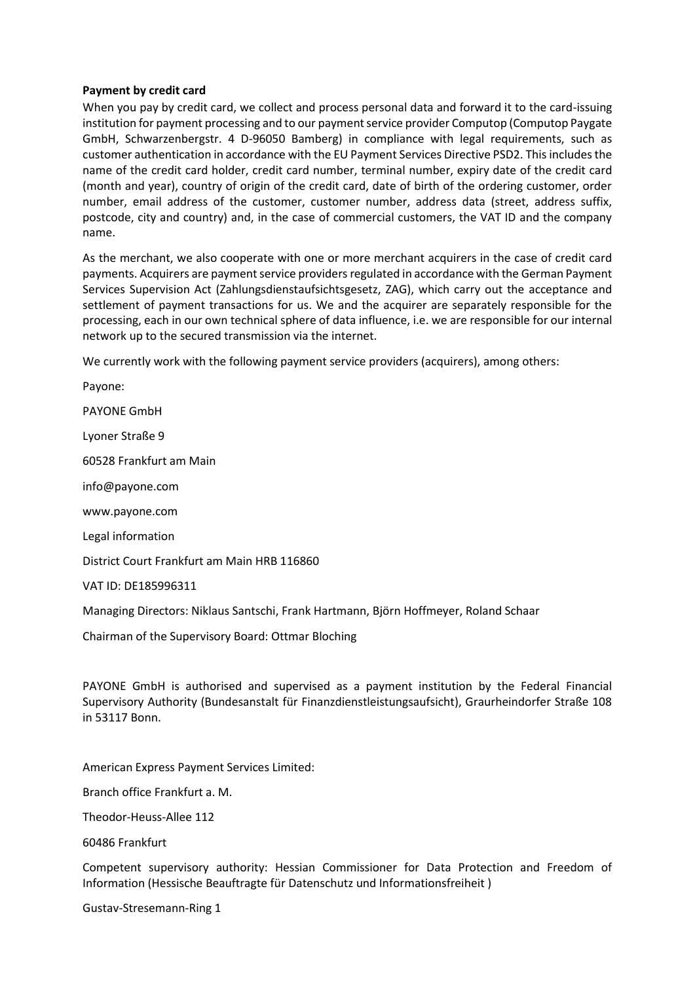## <span id="page-11-0"></span>**Payment by credit card**

When you pay by credit card, we collect and process personal data and forward it to the card-issuing institution for payment processing and to our payment service provider Computop (Computop Paygate GmbH, Schwarzenbergstr. 4 D-96050 Bamberg) in compliance with legal requirements, such as customer authentication in accordance with the EU Payment Services Directive PSD2. This includes the name of the credit card holder, credit card number, terminal number, expiry date of the credit card (month and year), country of origin of the credit card, date of birth of the ordering customer, order number, email address of the customer, customer number, address data (street, address suffix, postcode, city and country) and, in the case of commercial customers, the VAT ID and the company name.

As the merchant, we also cooperate with one or more merchant acquirers in the case of credit card payments. Acquirers are payment service providers regulated in accordance with the German Payment Services Supervision Act (Zahlungsdienstaufsichtsgesetz, ZAG), which carry out the acceptance and settlement of payment transactions for us. We and the acquirer are separately responsible for the processing, each in our own technical sphere of data influence, i.e. we are responsible for our internal network up to the secured transmission via the internet.

We currently work with the following payment service providers (acquirers), among others:

Payone:

PAYONE GmbH

Lyoner Straße 9

60528 Frankfurt am Main

info@payone.com

[www.payone.com](http://www.payone.com/)

Legal information

District Court Frankfurt am Main HRB 116860

VAT ID: DE185996311

Managing Directors: Niklaus Santschi, Frank Hartmann, Björn Hoffmeyer, Roland Schaar

Chairman of the Supervisory Board: Ottmar Bloching

PAYONE GmbH is authorised and supervised as a payment institution by the Federal Financial Supervisory Authority (Bundesanstalt für Finanzdienstleistungsaufsicht), Graurheindorfer Straße 108 in 53117 Bonn.

American Express Payment Services Limited:

Branch office Frankfurt a. M.

Theodor-Heuss-Allee 112

60486 Frankfurt

Competent supervisory authority: Hessian Commissioner for Data Protection and Freedom of Information (Hessische Beauftragte für Datenschutz und Informationsfreiheit )

Gustav-Stresemann-Ring 1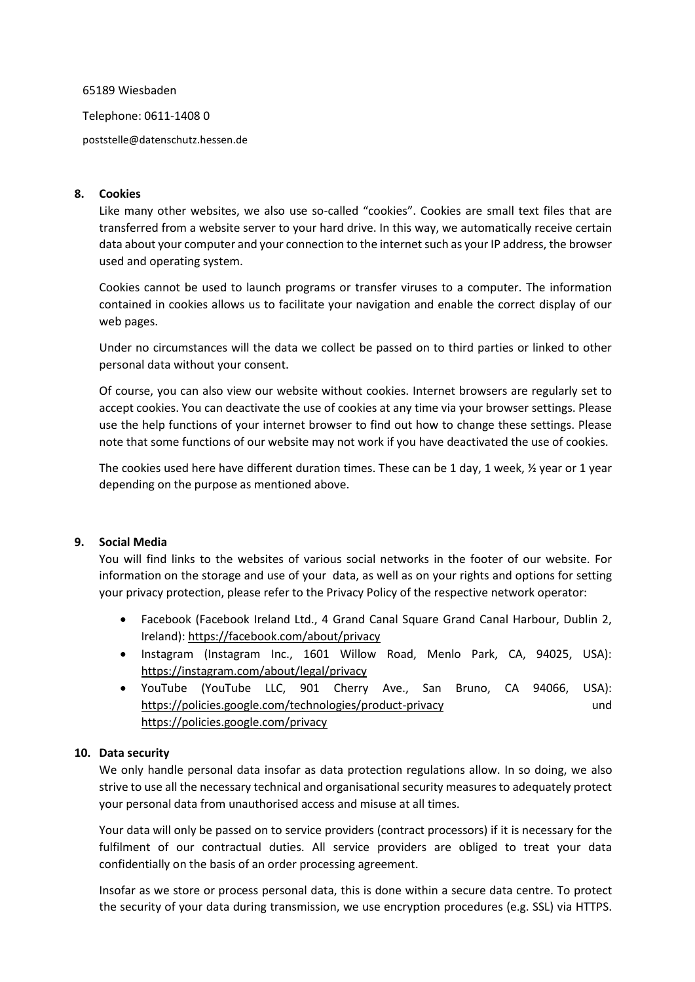#### 65189 Wiesbaden

Telephone: 0611-1408 0

[poststelle@datenschutz.hessen.de](mailto:poststelle@datenschutz.hessen.de)

## <span id="page-12-0"></span>**8. Cookies**

Like many other websites, we also use so-called "cookies". Cookies are small text files that are transferred from a website server to your hard drive. In this way, we automatically receive certain data about your computer and your connection to the internet such as your IP address, the browser used and operating system.

Cookies cannot be used to launch programs or transfer viruses to a computer. The information contained in cookies allows us to facilitate your navigation and enable the correct display of our web pages.

Under no circumstances will the data we collect be passed on to third parties or linked to other personal data without your consent.

Of course, you can also view our website without cookies. Internet browsers are regularly set to accept cookies. You can deactivate the use of cookies at any time via your browser settings. Please use the help functions of your internet browser to find out how to change these settings. Please note that some functions of our website may not work if you have deactivated the use of cookies.

The cookies used here have different duration times. These can be 1 day, 1 week, ½ year or 1 year depending on the purpose as mentioned above.

## <span id="page-12-1"></span>**9. Social Media**

You will find links to the websites of various social networks in the footer of our website. For information on the storage and use of your data, as well as on your rights and options for setting your privacy protection, please refer to the Privacy Policy of the respective network operator:

- Facebook (Facebook Ireland Ltd., 4 Grand Canal Square Grand Canal Harbour, Dublin 2, Ireland):<https://facebook.com/about/privacy>
- Instagram (Instagram Inc., 1601 Willow Road, Menlo Park, CA, 94025, USA): <https://instagram.com/about/legal/privacy>
- YouTube (YouTube LLC, 901 Cherry Ave., San Bruno, CA 94066, USA): <https://policies.google.com/technologies/product-privacy> und <https://policies.google.com/privacy>

## <span id="page-12-2"></span>**10. Data security**

We only handle personal data insofar as data protection regulations allow. In so doing, we also strive to use all the necessary technical and organisational security measures to adequately protect your personal data from unauthorised access and misuse at all times.

Your data will only be passed on to service providers (contract processors) if it is necessary for the fulfilment of our contractual duties. All service providers are obliged to treat your data confidentially on the basis of an order processing agreement.

Insofar as we store or process personal data, this is done within a secure data centre. To protect the security of your data during transmission, we use encryption procedures (e.g. SSL) via HTTPS.